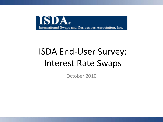

# ISDA End-User Survey: Interest Rate Swaps

October 2010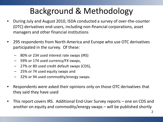## Background & Methodology

- During July and August 2010, ISDA conducted a survey of over-the-counter (OTC) derivatives end-users, including non-financial corporations, asset managers and other financial institutions
- 295 respondents from North America and Europe who use OTC derivatives participated in the survey. Of these:
	- 80% or 234 used interest rate swaps (IRS)
	- 59% or 174 used currency/FX swaps,
	- 27% or 80 used credit default swaps (CDS),
	- 25% or 74 used equity swaps and
	- 32% or 94 used commodity/energy swaps.
- Respondents were asked their opinions only on those OTC derivatives that they said they have used
- This report covers IRS. Additional End-User Survey reports one on CDS and another on equity and commodity/energy swaps – will be published shortly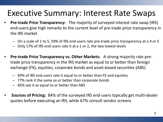### Executive Summary: Interest Rate Swaps

- **Pre-trade Price Transparency:** The majority of surveyed interest rate swap (IRS) end-users give high remarks to the current level of pre-trade price transparency in the IRS market
	- On a scale of 1 to 5, 59% of IRS end-users rate pre-trade price transparency at a 4 or 5
	- Only 17% of IRS end-users rate it at a 1 or 2, the two lowest levels
- **Pre-trade Price Transparency vs. Other Markets:** A strong majority rate pretrade price transparency in the IRS market as equal to or better than foreign exchange (FX), equities, corporate bonds and asset-based securities (ABS)
	- 69% of IRS end-users rate it equal to or better than FX and equities
	- 77% rank it the same as or better than corporate bonds
	- 85% see it as equal to or better than ABS
- **Sources of Pricing:** 84% of the surveyed IRS end-users typically get multi-dealer quotes before executing an IRS, while 67% consult vendor screens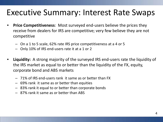### Executive Summary: Interest Rate Swaps

- **Price Competitiveness**: Most surveyed end-users believe the prices they receive from dealers for IRS are competitive; very few believe they are not competitive
	- On a 1 to 5 scale, 62% rate IRS price competitiveness at a 4 or 5
	- Only 10% of IRS end-users rate it at a 1 or 2
- **Liquidity:** A strong majority of the surveyed IRS end-users rate the liquidity of the IRS market as equal to or better than the liquidity of the FX, equity, corporate bond and ABS markets
	- 71% of IRS end-users rank it same as or better than FX
	- 69% rank it same as or better than equities
	- 83% rank it equal to or better than corporate bonds
	- 87% rank it same as or better than ABS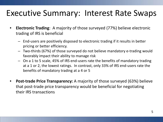### Executive Summary: Interest Rate Swaps

- **Electronic Trading**: A majority of those surveyed (77%) believe electronic trading of IRS is beneficial
	- End-users are positively disposed to electronic trading if it results in better pricing or better efficiency.
	- Two-thirds (67%) of those surveyed do not believe mandatory e-trading would favorably impact their ability to manage risk
	- On a 1 to 5 scale, 45% of IRS end-users rate the benefits of mandatory trading at a 1 or 2, the lowest ratings. In contrast, only 33% of IRS end-users rate the benefits of mandatory trading at a 4 or 5
- **Post-trade Price Transparency:** A majority of those surveyed (63%) believe that post-trade price transparency would be beneficial for negotiating their IRS transactions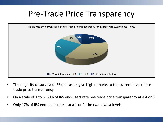### Pre-Trade Price Transparency



- The majority of surveyed IRS end-users give high remarks to the current level of pretrade price transparency
- On a scale of 1 to 5, 59% of IRS end-users rate pre-trade price transparency at a 4 or 5
- Only 17% of IRS end-users rate it at a 1 or 2, the two lowest levels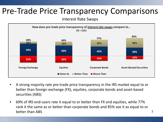### Pre-Trade Price Transparency Comparisons

Interest Rate Swaps



- A strong majority rate pre-trade price transparency in the IRS market equal to or better than foreign exchange (FX), equities, corporate bonds and asset-based securities (ABS)
- 69% of IRS end-users rate it equal to or better than FX and equities, while 77% rank it the same as or better than corporate bonds and 85% see it as equal to or better than ABS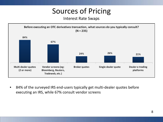### Sources of Pricing

#### Interest Rate Swaps



• 84% of the surveyed IRS end-users typically get multi-dealer quotes before executing an IRS, while 67% consult vendor screens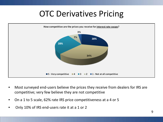### OTC Derivatives Pricing



- Most surveyed end-users believe the prices they receive from dealers for IRS are competitive; very few believe they are not competitive
- On a 1 to 5 scale, 62% rate IRS price competitiveness at a 4 or 5
- Only 10% of IRS end-users rate it at a 1 or 2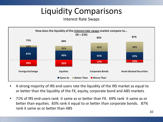## Liquidity Comparisons

#### Interest Rate Swaps



- A strong majority of IRS end-users rate the liquidity of the IRS market as equal to or better than the liquidity of the FX, equity, corporate bond and ABS markets
- 71% of IRS end-users rank it same as or better than FX. 69% rank it same as or better than equities. 83% rank it equal to or better than corporate bonds. 87% rank it same as or better than ABS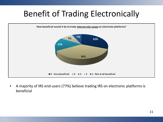## Benefit of Trading Electronically



• A majority of IRS end-users (77%) believe trading IRS on electronic platforms is beneficial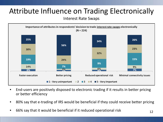### Attribute Influence on Trading Electronically

Interest Rate Swaps



- End-users are positively disposed to electronic trading if it results in better pricing or better efficiency
- 80% say that e-trading of IRS would be beneficial if they could receive better pricing
- 66% say that it would be beneficial if it reduced operational risk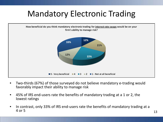## Mandatory Electronic Trading



- Two-thirds (67%) of those surveyed do not believe mandatory e-trading would favorably impact their ability to manage risk
- 45% of IRS end-users rate the benefits of mandatory trading at a 1 or 2, the lowest ratings
- In contrast, only 33% of IRS end-users rate the benefits of mandatory trading at a  $4 \text{ or } 5$  13